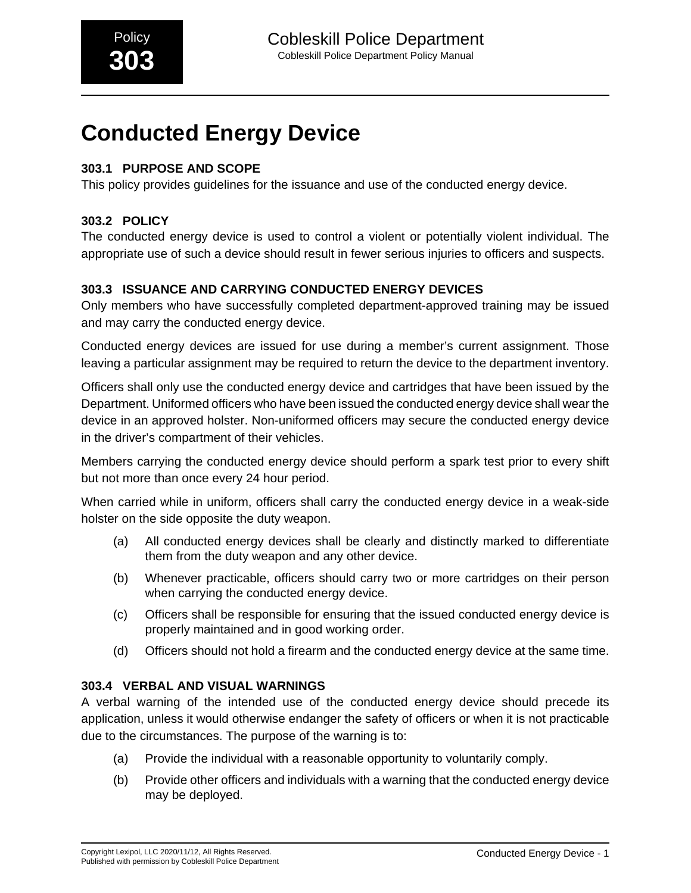# **303.1 PURPOSE AND SCOPE**

This policy provides guidelines for the issuance and use of the conducted energy device.

# **303.2 POLICY**

The conducted energy device is used to control a violent or potentially violent individual. The appropriate use of such a device should result in fewer serious injuries to officers and suspects.

## **303.3 ISSUANCE AND CARRYING CONDUCTED ENERGY DEVICES**

Only members who have successfully completed department-approved training may be issued and may carry the conducted energy device.

Conducted energy devices are issued for use during a member's current assignment. Those leaving a particular assignment may be required to return the device to the department inventory.

Officers shall only use the conducted energy device and cartridges that have been issued by the Department. Uniformed officers who have been issued the conducted energy device shall wear the device in an approved holster. Non-uniformed officers may secure the conducted energy device in the driver's compartment of their vehicles.

Members carrying the conducted energy device should perform a spark test prior to every shift but not more than once every 24 hour period.

When carried while in uniform, officers shall carry the conducted energy device in a weak-side holster on the side opposite the duty weapon.

- (a) All conducted energy devices shall be clearly and distinctly marked to differentiate them from the duty weapon and any other device.
- (b) Whenever practicable, officers should carry two or more cartridges on their person when carrying the conducted energy device.
- (c) Officers shall be responsible for ensuring that the issued conducted energy device is properly maintained and in good working order.
- (d) Officers should not hold a firearm and the conducted energy device at the same time.

## **303.4 VERBAL AND VISUAL WARNINGS**

A verbal warning of the intended use of the conducted energy device should precede its application, unless it would otherwise endanger the safety of officers or when it is not practicable due to the circumstances. The purpose of the warning is to:

- (a) Provide the individual with a reasonable opportunity to voluntarily comply.
- (b) Provide other officers and individuals with a warning that the conducted energy device may be deployed.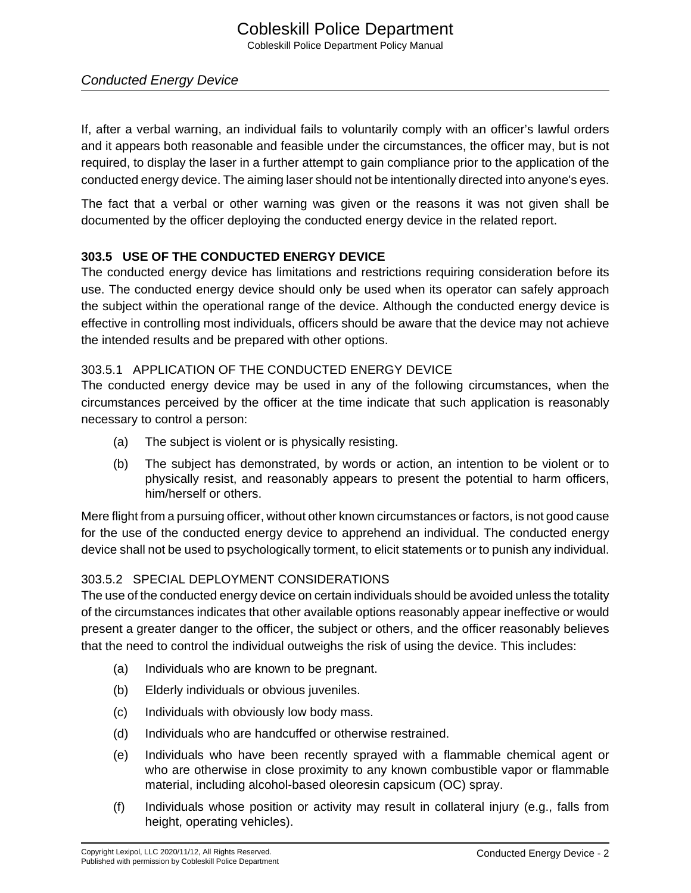If, after a verbal warning, an individual fails to voluntarily comply with an officer's lawful orders and it appears both reasonable and feasible under the circumstances, the officer may, but is not required, to display the laser in a further attempt to gain compliance prior to the application of the conducted energy device. The aiming laser should not be intentionally directed into anyone's eyes.

The fact that a verbal or other warning was given or the reasons it was not given shall be documented by the officer deploying the conducted energy device in the related report.

## **303.5 USE OF THE CONDUCTED ENERGY DEVICE**

The conducted energy device has limitations and restrictions requiring consideration before its use. The conducted energy device should only be used when its operator can safely approach the subject within the operational range of the device. Although the conducted energy device is effective in controlling most individuals, officers should be aware that the device may not achieve the intended results and be prepared with other options.

## 303.5.1 APPLICATION OF THE CONDUCTED ENERGY DEVICE

The conducted energy device may be used in any of the following circumstances, when the circumstances perceived by the officer at the time indicate that such application is reasonably necessary to control a person:

- (a) The subject is violent or is physically resisting.
- (b) The subject has demonstrated, by words or action, an intention to be violent or to physically resist, and reasonably appears to present the potential to harm officers, him/herself or others.

Mere flight from a pursuing officer, without other known circumstances or factors, is not good cause for the use of the conducted energy device to apprehend an individual. The conducted energy device shall not be used to psychologically torment, to elicit statements or to punish any individual.

## 303.5.2 SPECIAL DEPLOYMENT CONSIDERATIONS

The use of the conducted energy device on certain individuals should be avoided unless the totality of the circumstances indicates that other available options reasonably appear ineffective or would present a greater danger to the officer, the subject or others, and the officer reasonably believes that the need to control the individual outweighs the risk of using the device. This includes:

- (a) Individuals who are known to be pregnant.
- (b) Elderly individuals or obvious juveniles.
- (c) Individuals with obviously low body mass.
- (d) Individuals who are handcuffed or otherwise restrained.
- (e) Individuals who have been recently sprayed with a flammable chemical agent or who are otherwise in close proximity to any known combustible vapor or flammable material, including alcohol-based oleoresin capsicum (OC) spray.
- (f) Individuals whose position or activity may result in collateral injury (e.g., falls from height, operating vehicles).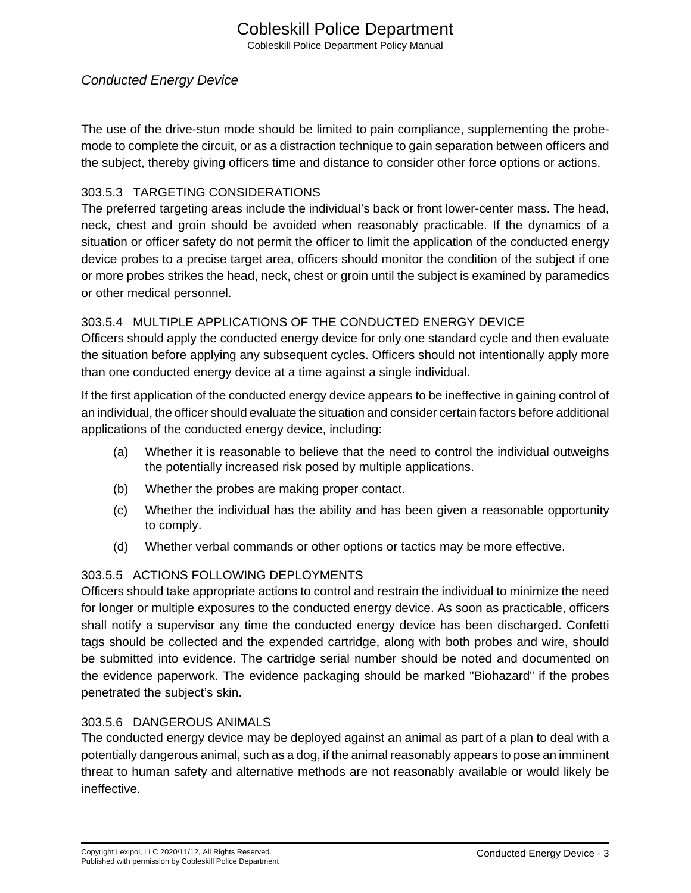## Cobleskill Police Department Cobleskill Police Department Policy Manual

## Conducted Energy Device

The use of the drive-stun mode should be limited to pain compliance, supplementing the probemode to complete the circuit, or as a distraction technique to gain separation between officers and the subject, thereby giving officers time and distance to consider other force options or actions.

### 303.5.3 TARGETING CONSIDERATIONS

The preferred targeting areas include the individual's back or front lower-center mass. The head, neck, chest and groin should be avoided when reasonably practicable. If the dynamics of a situation or officer safety do not permit the officer to limit the application of the conducted energy device probes to a precise target area, officers should monitor the condition of the subject if one or more probes strikes the head, neck, chest or groin until the subject is examined by paramedics or other medical personnel.

## 303.5.4 MULTIPLE APPLICATIONS OF THE CONDUCTED ENERGY DEVICE

Officers should apply the conducted energy device for only one standard cycle and then evaluate the situation before applying any subsequent cycles. Officers should not intentionally apply more than one conducted energy device at a time against a single individual.

If the first application of the conducted energy device appears to be ineffective in gaining control of an individual, the officer should evaluate the situation and consider certain factors before additional applications of the conducted energy device, including:

- (a) Whether it is reasonable to believe that the need to control the individual outweighs the potentially increased risk posed by multiple applications.
- (b) Whether the probes are making proper contact.
- (c) Whether the individual has the ability and has been given a reasonable opportunity to comply.
- (d) Whether verbal commands or other options or tactics may be more effective.

## 303.5.5 ACTIONS FOLLOWING DEPLOYMENTS

Officers should take appropriate actions to control and restrain the individual to minimize the need for longer or multiple exposures to the conducted energy device. As soon as practicable, officers shall notify a supervisor any time the conducted energy device has been discharged. Confetti tags should be collected and the expended cartridge, along with both probes and wire, should be submitted into evidence. The cartridge serial number should be noted and documented on the evidence paperwork. The evidence packaging should be marked "Biohazard" if the probes penetrated the subject's skin.

#### 303.5.6 DANGEROUS ANIMALS

The conducted energy device may be deployed against an animal as part of a plan to deal with a potentially dangerous animal, such as a dog, if the animal reasonably appears to pose an imminent threat to human safety and alternative methods are not reasonably available or would likely be ineffective.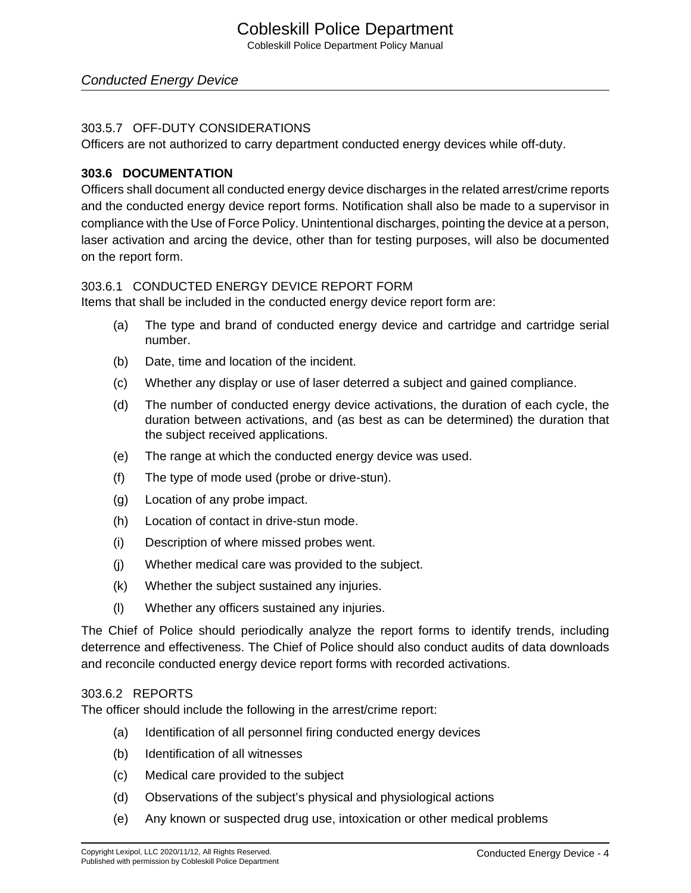#### 303.5.7 OFF-DUTY CONSIDERATIONS

Officers are not authorized to carry department conducted energy devices while off-duty.

#### **303.6 DOCUMENTATION**

Officers shall document all conducted energy device discharges in the related arrest/crime reports and the conducted energy device report forms. Notification shall also be made to a supervisor in compliance with the Use of Force Policy. Unintentional discharges, pointing the device at a person, laser activation and arcing the device, other than for testing purposes, will also be documented on the report form.

#### 303.6.1 CONDUCTED ENERGY DEVICE REPORT FORM

Items that shall be included in the conducted energy device report form are:

- (a) The type and brand of conducted energy device and cartridge and cartridge serial number.
- (b) Date, time and location of the incident.
- (c) Whether any display or use of laser deterred a subject and gained compliance.
- (d) The number of conducted energy device activations, the duration of each cycle, the duration between activations, and (as best as can be determined) the duration that the subject received applications.
- (e) The range at which the conducted energy device was used.
- (f) The type of mode used (probe or drive-stun).
- (g) Location of any probe impact.
- (h) Location of contact in drive-stun mode.
- (i) Description of where missed probes went.
- (j) Whether medical care was provided to the subject.
- (k) Whether the subject sustained any injuries.
- (l) Whether any officers sustained any injuries.

The Chief of Police should periodically analyze the report forms to identify trends, including deterrence and effectiveness. The Chief of Police should also conduct audits of data downloads and reconcile conducted energy device report forms with recorded activations.

#### 303.6.2 REPORTS

The officer should include the following in the arrest/crime report:

- (a) Identification of all personnel firing conducted energy devices
- (b) Identification of all witnesses
- (c) Medical care provided to the subject
- (d) Observations of the subject's physical and physiological actions
- (e) Any known or suspected drug use, intoxication or other medical problems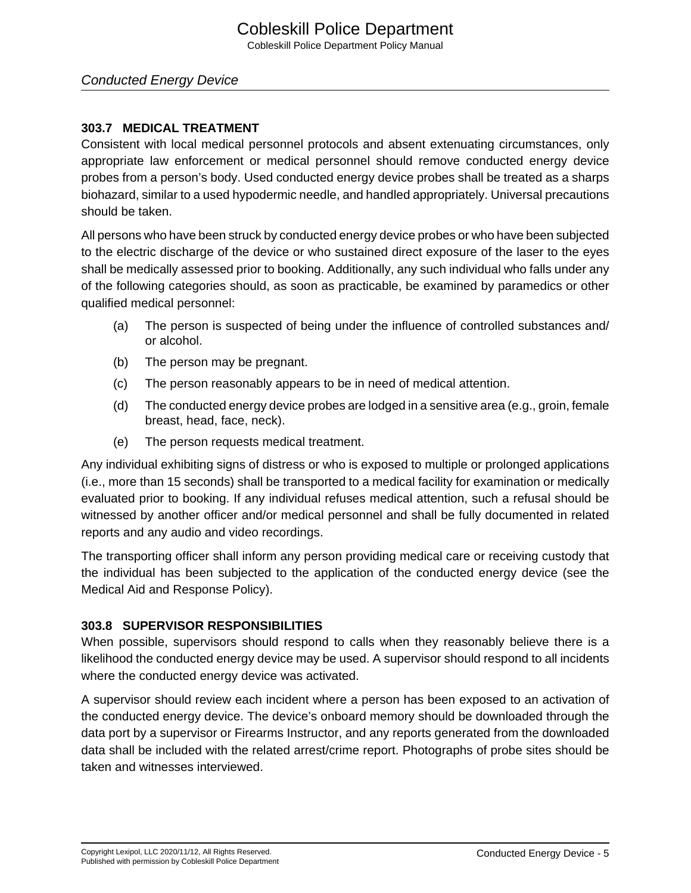## **303.7 MEDICAL TREATMENT**

Consistent with local medical personnel protocols and absent extenuating circumstances, only appropriate law enforcement or medical personnel should remove conducted energy device probes from a person's body. Used conducted energy device probes shall be treated as a sharps biohazard, similar to a used hypodermic needle, and handled appropriately. Universal precautions should be taken.

All persons who have been struck by conducted energy device probes or who have been subjected to the electric discharge of the device or who sustained direct exposure of the laser to the eyes shall be medically assessed prior to booking. Additionally, any such individual who falls under any of the following categories should, as soon as practicable, be examined by paramedics or other qualified medical personnel:

- (a) The person is suspected of being under the influence of controlled substances and/ or alcohol.
- (b) The person may be pregnant.
- (c) The person reasonably appears to be in need of medical attention.
- (d) The conducted energy device probes are lodged in a sensitive area (e.g., groin, female breast, head, face, neck).
- (e) The person requests medical treatment.

Any individual exhibiting signs of distress or who is exposed to multiple or prolonged applications (i.e., more than 15 seconds) shall be transported to a medical facility for examination or medically evaluated prior to booking. If any individual refuses medical attention, such a refusal should be witnessed by another officer and/or medical personnel and shall be fully documented in related reports and any audio and video recordings.

The transporting officer shall inform any person providing medical care or receiving custody that the individual has been subjected to the application of the conducted energy device (see the Medical Aid and Response Policy).

## **303.8 SUPERVISOR RESPONSIBILITIES**

When possible, supervisors should respond to calls when they reasonably believe there is a likelihood the conducted energy device may be used. A supervisor should respond to all incidents where the conducted energy device was activated.

A supervisor should review each incident where a person has been exposed to an activation of the conducted energy device. The device's onboard memory should be downloaded through the data port by a supervisor or Firearms Instructor, and any reports generated from the downloaded data shall be included with the related arrest/crime report. Photographs of probe sites should be taken and witnesses interviewed.